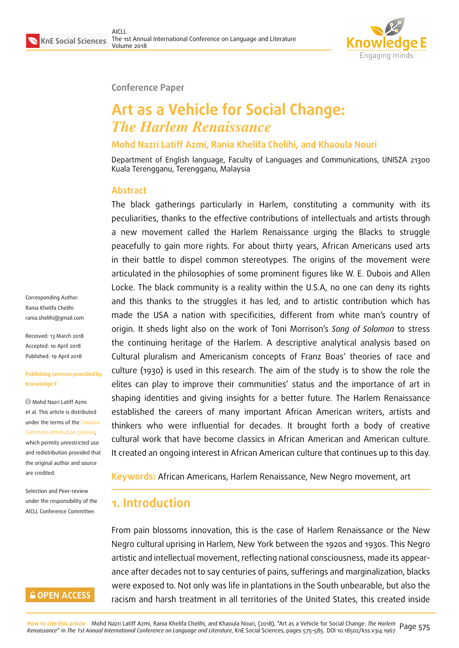

#### **Conference Paper**

# **Art as a Vehicle for Social Change:** *The Harlem Renaissance*

#### **Mohd Nazri Latiff Azmi, Rania Khelifa Chelihi, and Khaoula Nouri**

Department of English language, Faculty of Languages and Communications, UNISZA 21300 Kuala Terengganu, Terengganu, Malaysia

#### **Abstract**

The black gatherings particularly in Harlem, constituting a community with its peculiarities, thanks to the effective contributions of intellectuals and artists through a new movement called the Harlem Renaissance urging the Blacks to struggle peacefully to gain more rights. For about thirty years, African Americans used arts in their battle to dispel common stereotypes. The origins of the movement were articulated in the philosophies of some prominent figures like W. E. Dubois and Allen Locke. The black community is a reality within the U.S.A, no one can deny its rights and this thanks to the struggles it has led, and to artistic contribution which has made the USA a nation with specificities, different from white man's country of origin. It sheds light also on the work of Toni Morrison's *Song of Solomon* to stress the continuing heritage of the Harlem. A descriptive analytical analysis based on Cultural pluralism and Americanism concepts of Franz Boas' theories of race and culture (1930) is used in this research. The aim of the study is to show the role the elites can play to improve their communities' status and the importance of art in shaping identities and giving insights for a better future. The Harlem Renaissance established the careers of many important African American writers, artists and thinkers who were influential for decades. It brought forth a body of creative cultural work that have become classics in African American and American culture. It created an ongoing interest in African American culture that continues up to this day.

**Keywords:** African Americans, Harlem Renaissance, New Negro movement, art

### **1. Introduction**

From pain blossoms innovation, this is the case of Harlem Renaissance or the New Negro cultural uprising in Harlem, New York between the 1920s and 1930s. This Negro artistic and intellectual movement, reflecting national consciousness, made its appearance after decades not to say centuries of pains, sufferings and marginalization, blacks were exposed to. Not only was life in plantations in the South unbearable, but also the racism and harsh treatment in all territories of the United States, this created inside

Corresponding Author: Rania Khelifa Chelihi rania.shelihi@gmail.com

Received: 13 March 2018 Accepted: 10 April 2018 [Published: 19 April 2018](mailto:rania.shelihi@gmail.com)

#### **Publishing services provided by Knowledge E**

Mohd Nazri Latiff Azmi et al. This article is distributed under the terms of the Creative Commons Attribution License,

which permits unrestricted use and redistribution provided that the original author and [source](https://creativecommons.org/licenses/by/4.0/) [are credited.](https://creativecommons.org/licenses/by/4.0/)

Selection and Peer-review under the responsibility of the AICLL Conference Committee.

#### **GOPEN ACCESS**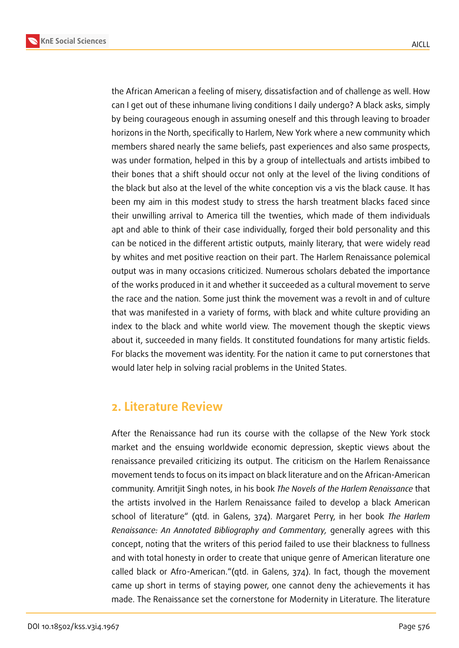

the African American a feeling of misery, dissatisfaction and of challenge as well. How can I get out of these inhumane living conditions I daily undergo? A black asks, simply by being courageous enough in assuming oneself and this through leaving to broader horizons in the North, specifically to Harlem, New York where a new community which members shared nearly the same beliefs, past experiences and also same prospects, was under formation, helped in this by a group of intellectuals and artists imbibed to their bones that a shift should occur not only at the level of the living conditions of the black but also at the level of the white conception vis a vis the black cause. It has been my aim in this modest study to stress the harsh treatment blacks faced since their unwilling arrival to America till the twenties, which made of them individuals apt and able to think of their case individually, forged their bold personality and this can be noticed in the different artistic outputs, mainly literary, that were widely read by whites and met positive reaction on their part. The Harlem Renaissance polemical output was in many occasions criticized. Numerous scholars debated the importance of the works produced in it and whether it succeeded as a cultural movement to serve the race and the nation. Some just think the movement was a revolt in and of culture that was manifested in a variety of forms, with black and white culture providing an index to the black and white world view. The movement though the skeptic views about it, succeeded in many fields. It constituted foundations for many artistic fields. For blacks the movement was identity. For the nation it came to put cornerstones that would later help in solving racial problems in the United States.

### **2. Literature Review**

After the Renaissance had run its course with the collapse of the New York stock market and the ensuing worldwide economic depression, skeptic views about the renaissance prevailed criticizing its output. The criticism on the Harlem Renaissance movement tends to focus on its impact on black literature and on the African-American community. Amritjit Singh notes, in his book *The Novels of the Harlem Renaissance* that the artists involved in the Harlem Renaissance failed to develop a black American school of literature" (qtd. in Galens, 374). Margaret Perry, in her book *The Harlem Renaissance: An Annotated Bibliography and Commentary,* generally agrees with this concept, noting that the writers of this period failed to use their blackness to fullness and with total honesty in order to create that unique genre of American literature one called black or Afro-American."(qtd. in Galens, 374). In fact, though the movement came up short in terms of staying power, one cannot deny the achievements it has made. The Renaissance set the cornerstone for Modernity in Literature. The literature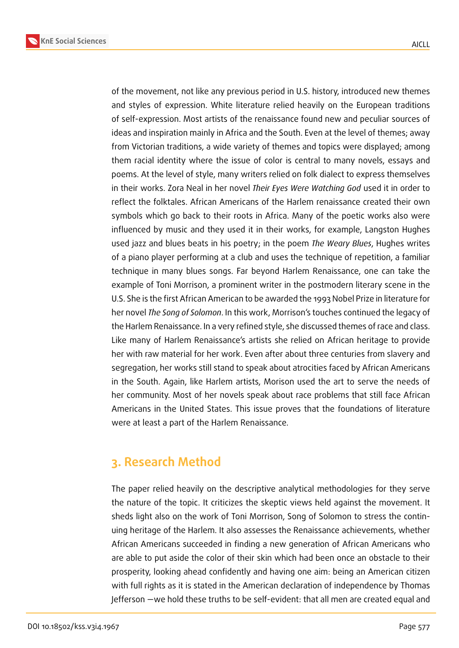of the movement, not like any previous period in U.S. history, introduced new themes and styles of expression. White literature relied heavily on the European traditions of self-expression. Most artists of the renaissance found new and peculiar sources of ideas and inspiration mainly in Africa and the South. Even at the level of themes; away from Victorian traditions, a wide variety of themes and topics were displayed; among them racial identity where the issue of color is central to many novels, essays and poems. At the level of style, many writers relied on folk dialect to express themselves in their works. Zora Neal in her novel *Their Eyes Were Watching God* used it in order to reflect the folktales. African Americans of the Harlem renaissance created their own symbols which go back to their roots in Africa. Many of the poetic works also were influenced by music and they used it in their works, for example, Langston Hughes used jazz and blues beats in his poetry; in the poem *The Weary Blues*, Hughes writes of a piano player performing at a club and uses the technique of repetition, a familiar technique in many blues songs. Far beyond Harlem Renaissance, one can take the example of Toni Morrison, a prominent writer in the postmodern literary scene in the U.S. She is the first African American to be awarded the 1993 Nobel Prize in literature for her novel *The Song of Solomon*. In this work, Morrison's touches continued the legacy of the Harlem Renaissance. In a very refined style, she discussed themes of race and class. Like many of Harlem Renaissance's artists she relied on African heritage to provide her with raw material for her work. Even after about three centuries from slavery and segregation, her works still stand to speak about atrocities faced by African Americans in the South. Again, like Harlem artists, Morison used the art to serve the needs of her community. Most of her novels speak about race problems that still face African Americans in the United States. This issue proves that the foundations of literature were at least a part of the Harlem Renaissance.

### **3. Research Method**

The paper relied heavily on the descriptive analytical methodologies for they serve the nature of the topic. It criticizes the skeptic views held against the movement. It sheds light also on the work of Toni Morrison, Song of Solomon to stress the continuing heritage of the Harlem. It also assesses the Renaissance achievements, whether African Americans succeeded in finding a new generation of African Americans who are able to put aside the color of their skin which had been once an obstacle to their prosperity, looking ahead confidently and having one aim: being an American citizen with full rights as it is stated in the American declaration of independence by Thomas Jefferson —we hold these truths to be self-evident: that all men are created equal and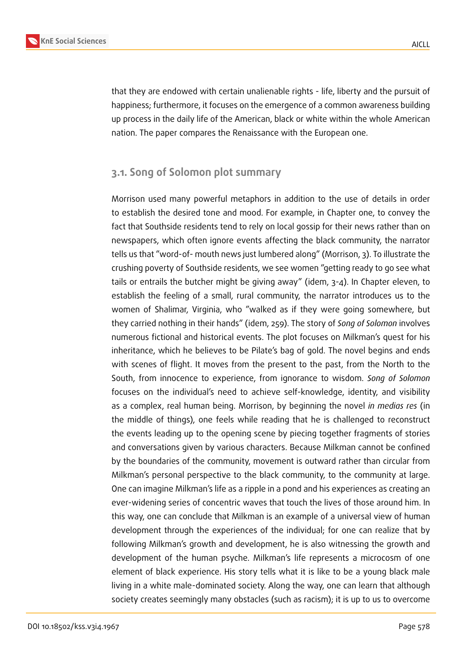

that they are endowed with certain unalienable rights - life, liberty and the pursuit of happiness; furthermore, it focuses on the emergence of a common awareness building up process in the daily life of the American, black or white within the whole American nation. The paper compares the Renaissance with the European one.

#### **3.1. Song of Solomon plot summary**

Morrison used many powerful metaphors in addition to the use of details in order to establish the desired tone and mood. For example, in Chapter one, to convey the fact that Southside residents tend to rely on local gossip for their news rather than on newspapers, which often ignore events affecting the black community, the narrator tells us that "word-of- mouth news just lumbered along" (Morrison, 3). To illustrate the crushing poverty of Southside residents, we see women "getting ready to go see what tails or entrails the butcher might be giving away" (idem, 3-4). In Chapter eleven, to establish the feeling of a small, rural community, the narrator introduces us to the women of Shalimar, Virginia, who "walked as if they were going somewhere, but they carried nothing in their hands" (idem, 259). The story of *Song of Solomon* involves numerous fictional and historical events. The plot focuses on Milkman's quest for his inheritance, which he believes to be Pilate's bag of gold. The novel begins and ends with scenes of flight. It moves from the present to the past, from the North to the South, from innocence to experience, from ignorance to wisdom. *Song of Solomon* focuses on the individual's need to achieve self-knowledge, identity, and visibility as a complex, real human being. Morrison, by beginning the novel *in medias res* (in the middle of things), one feels while reading that he is challenged to reconstruct the events leading up to the opening scene by piecing together fragments of stories and conversations given by various characters. Because Milkman cannot be confined by the boundaries of the community, movement is outward rather than circular from Milkman's personal perspective to the black community, to the community at large. One can imagine Milkman's life as a ripple in a pond and his experiences as creating an ever-widening series of concentric waves that touch the lives of those around him. In this way, one can conclude that Milkman is an example of a universal view of human development through the experiences of the individual; for one can realize that by following Milkman's growth and development, he is also witnessing the growth and development of the human psyche. Milkman's life represents a microcosm of one element of black experience. His story tells what it is like to be a young black male living in a white male-dominated society. Along the way, one can learn that although society creates seemingly many obstacles (such as racism); it is up to us to overcome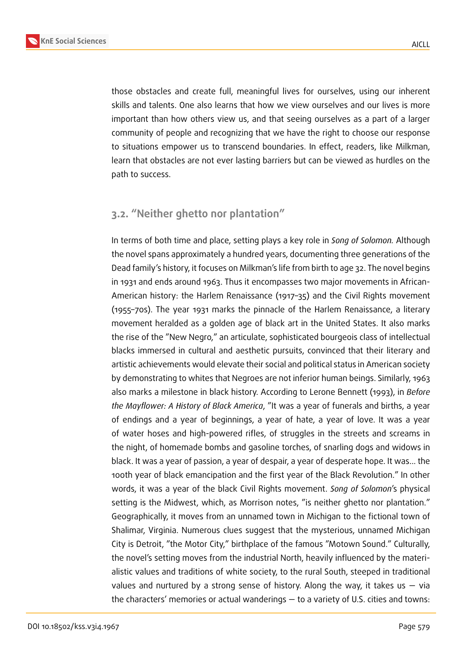

those obstacles and create full, meaningful lives for ourselves, using our inherent skills and talents. One also learns that how we view ourselves and our lives is more important than how others view us, and that seeing ourselves as a part of a larger community of people and recognizing that we have the right to choose our response to situations empower us to transcend boundaries. In effect, readers, like Milkman, learn that obstacles are not ever lasting barriers but can be viewed as hurdles on the path to success.

#### **3.2. "Neither ghetto nor plantation"**

In terms of both time and place, setting plays a key role in *Song of Solomon.* Although the novel spans approximately a hundred years, documenting three generations of the Dead family's history, it focuses on Milkman's life from birth to age 32. The novel begins in 1931 and ends around 1963. Thus it encompasses two major movements in African-American history: the Harlem Renaissance (1917–35) and the Civil Rights movement (1955–70s). The year 1931 marks the pinnacle of the Harlem Renaissance, a literary movement heralded as a golden age of black art in the United States. It also marks the rise of the "New Negro," an articulate, sophisticated bourgeois class of intellectual blacks immersed in cultural and aesthetic pursuits, convinced that their literary and artistic achievements would elevate their social and political status in American society by demonstrating to whites that Negroes are not inferior human beings. Similarly, 1963 also marks a milestone in black history. According to Lerone Bennett (1993), in *Before the Mayflower: A History of Black America*, "It was a year of funerals and births, a year of endings and a year of beginnings, a year of hate, a year of love. It was a year of water hoses and high-powered rifles, of struggles in the streets and screams in the night, of homemade bombs and gasoline torches, of snarling dogs and widows in black. It was a year of passion, a year of despair, a year of desperate hope. It was... the 100th year of black emancipation and the first year of the Black Revolution." In other words, it was a year of the black Civil Rights movement. *Song of Solomon*'s physical setting is the Midwest, which, as Morrison notes, "is neither ghetto nor plantation." Geographically, it moves from an unnamed town in Michigan to the fictional town of Shalimar, Virginia. Numerous clues suggest that the mysterious, unnamed Michigan City is Detroit, "the Motor City," birthplace of the famous "Motown Sound." Culturally, the novel's setting moves from the industrial North, heavily influenced by the materialistic values and traditions of white society, to the rural South, steeped in traditional values and nurtured by a strong sense of history. Along the way, it takes us  $-$  via the characters' memories or actual wanderings — to a variety of U.S. cities and towns: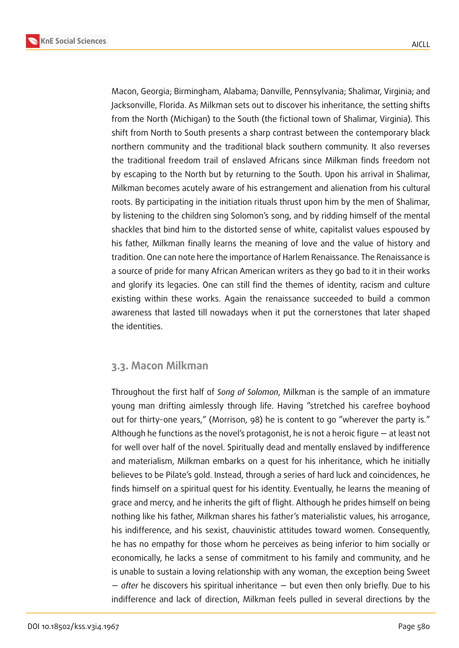Macon, Georgia; Birmingham, Alabama; Danville, Pennsylvania; Shalimar, Virginia; and Jacksonville, Florida. As Milkman sets out to discover his inheritance, the setting shifts from the North (Michigan) to the South (the fictional town of Shalimar, Virginia). This shift from North to South presents a sharp contrast between the contemporary black northern community and the traditional black southern community. It also reverses the traditional freedom trail of enslaved Africans since Milkman finds freedom not by escaping to the North but by returning to the South. Upon his arrival in Shalimar, Milkman becomes acutely aware of his estrangement and alienation from his cultural roots. By participating in the initiation rituals thrust upon him by the men of Shalimar, by listening to the children sing Solomon's song, and by ridding himself of the mental shackles that bind him to the distorted sense of white, capitalist values espoused by his father, Milkman finally learns the meaning of love and the value of history and tradition. One can note here the importance of Harlem Renaissance. The Renaissance is a source of pride for many African American writers as they go bad to it in their works and glorify its legacies. One can still find the themes of identity, racism and culture existing within these works. Again the renaissance succeeded to build a common awareness that lasted till nowadays when it put the cornerstones that later shaped the identities.

#### **3.3. Macon Milkman**

Throughout the first half of *Song of Solomon*, Milkman is the sample of an immature young man drifting aimlessly through life. Having "stretched his carefree boyhood out for thirty-one years," (Morrison, 98) he is content to go "wherever the party is." Although he functions as the novel's protagonist, he is not a heroic figure — at least not for well over half of the novel. Spiritually dead and mentally enslaved by indifference and materialism, Milkman embarks on a quest for his inheritance, which he initially believes to be Pilate's gold. Instead, through a series of hard luck and coincidences, he finds himself on a spiritual quest for his identity. Eventually, he learns the meaning of grace and mercy, and he inherits the gift of flight. Although he prides himself on being nothing like his father, Milkman shares his father's materialistic values, his arrogance, his indifference, and his sexist, chauvinistic attitudes toward women. Consequently, he has no empathy for those whom he perceives as being inferior to him socially or economically, he lacks a sense of commitment to his family and community, and he is unable to sustain a loving relationship with any woman, the exception being Sweet — *after* he discovers his spiritual inheritance — but even then only briefly. Due to his indifference and lack of direction, Milkman feels pulled in several directions by the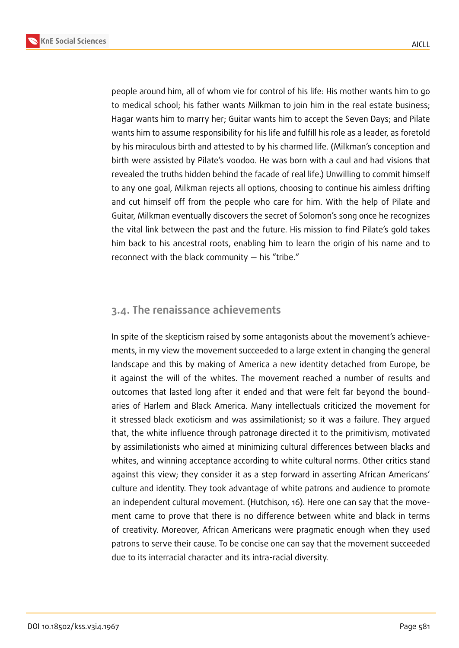

people around him, all of whom vie for control of his life: His mother wants him to go to medical school; his father wants Milkman to join him in the real estate business; Hagar wants him to marry her; Guitar wants him to accept the Seven Days; and Pilate wants him to assume responsibility for his life and fulfill his role as a leader, as foretold by his miraculous birth and attested to by his charmed life. (Milkman's conception and birth were assisted by Pilate's voodoo. He was born with a caul and had visions that revealed the truths hidden behind the facade of real life.) Unwilling to commit himself to any one goal, Milkman rejects all options, choosing to continue his aimless drifting and cut himself off from the people who care for him. With the help of Pilate and Guitar, Milkman eventually discovers the secret of Solomon's song once he recognizes the vital link between the past and the future. His mission to find Pilate's gold takes him back to his ancestral roots, enabling him to learn the origin of his name and to reconnect with the black community  $-$  his "tribe."

#### **3.4. The renaissance achievements**

In spite of the skepticism raised by some antagonists about the movement's achievements, in my view the movement succeeded to a large extent in changing the general landscape and this by making of America a new identity detached from Europe, be it against the will of the whites. The movement reached a number of results and outcomes that lasted long after it ended and that were felt far beyond the boundaries of Harlem and Black America. Many intellectuals criticized the movement for it stressed black exoticism and was assimilationist; so it was a failure. They argued that, the white influence through patronage directed it to the primitivism, motivated by assimilationists who aimed at minimizing cultural differences between blacks and whites, and winning acceptance according to white cultural norms. Other critics stand against this view; they consider it as a step forward in asserting African Americans' culture and identity. They took advantage of white patrons and audience to promote an independent cultural movement. (Hutchison, 16). Here one can say that the movement came to prove that there is no difference between white and black in terms of creativity. Moreover, African Americans were pragmatic enough when they used patrons to serve their cause. To be concise one can say that the movement succeeded due to its interracial character and its intra-racial diversity.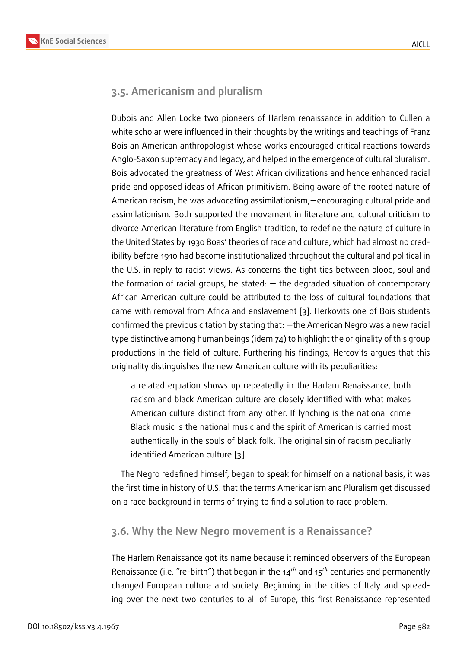### **3.5. Americanism and pluralism**

Dubois and Allen Locke two pioneers of Harlem renaissance in addition to Cullen a white scholar were influenced in their thoughts by the writings and teachings of Franz Bois an American anthropologist whose works encouraged critical reactions towards Anglo-Saxon supremacy and legacy, and helped in the emergence of cultural pluralism. Bois advocated the greatness of West African civilizations and hence enhanced racial pride and opposed ideas of African primitivism. Being aware of the rooted nature of American racism, he was advocating assimilationism,—encouraging cultural pride and assimilationism. Both supported the movement in literature and cultural criticism to divorce American literature from English tradition, to redefine the nature of culture in the United States by 1930 Boas' theories of race and culture, which had almost no credibility before 1910 had become institutionalized throughout the cultural and political in the U.S. in reply to racist views. As concerns the tight ties between blood, soul and the formation of racial groups, he stated:  $-$  the degraded situation of contemporary African American culture could be attributed to the loss of cultural foundations that came with removal from Africa and enslavement [3]. Herkovits one of Bois students confirmed the previous citation by stating that: —the American Negro was a new racial type distinctive among human beings (idem 74) to highlight the originality of this group productions in the field of culture. Furthering his [fin](#page-10-0)dings, Hercovits argues that this originality distinguishes the new American culture with its peculiarities:

a related equation shows up repeatedly in the Harlem Renaissance, both racism and black American culture are closely identified with what makes American culture distinct from any other. If lynching is the national crime Black music is the national music and the spirit of American is carried most authentically in the souls of black folk. The original sin of racism peculiarly identified American culture [3].

The Negro redefined himself, began to speak for himself on a national basis, it was the first time in history of U.S. tha[t t](#page-10-0)he terms Americanism and Pluralism get discussed on a race background in terms of trying to find a solution to race problem.

#### **3.6. Why the New Negro movement is a Renaissance?**

The Harlem Renaissance got its name because it reminded observers of the European Renaissance (i.e. "re-birth") that began in the  $14<sup>th</sup>$  and  $15<sup>th</sup>$  centuries and permanently changed European culture and society. Beginning in the cities of Italy and spreading over the next two centuries to all of Europe, this first Renaissance represented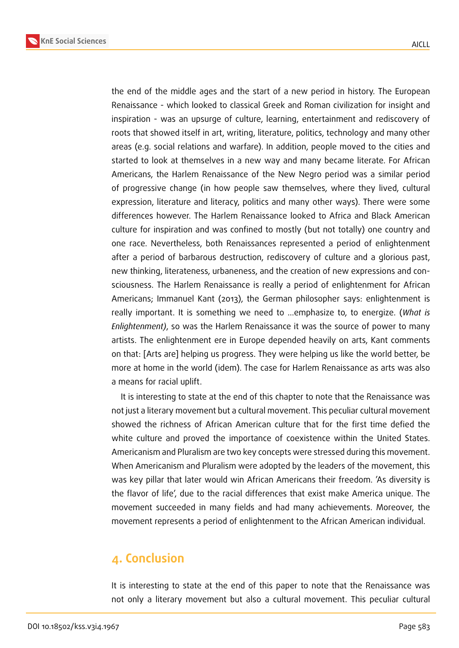

the end of the middle ages and the start of a new period in history. The European Renaissance - which looked to classical Greek and Roman civilization for insight and inspiration - was an upsurge of culture, learning, entertainment and rediscovery of roots that showed itself in art, writing, literature, politics, technology and many other areas (e.g. social relations and warfare). In addition, people moved to the cities and started to look at themselves in a new way and many became literate. For African Americans, the Harlem Renaissance of the New Negro period was a similar period of progressive change (in how people saw themselves, where they lived, cultural expression, literature and literacy, politics and many other ways). There were some differences however. The Harlem Renaissance looked to Africa and Black American culture for inspiration and was confined to mostly (but not totally) one country and one race. Nevertheless, both Renaissances represented a period of enlightenment after a period of barbarous destruction, rediscovery of culture and a glorious past, new thinking, literateness, urbaneness, and the creation of new expressions and consciousness. The Harlem Renaissance is really a period of enlightenment for African Americans; Immanuel Kant (2013), the German philosopher says: enlightenment is really important. It is something we need to …emphasize to, to energize. (*What is Enlightenment)*, so was the Harlem Renaissance it was the source of power to many artists. The enlightenment ere in Europe depended heavily on arts, Kant comments on that: [Arts are] helping us progress. They were helping us like the world better, be more at home in the world (idem). The case for Harlem Renaissance as arts was also a means for racial uplift.

It is interesting to state at the end of this chapter to note that the Renaissance was not just a literary movement but a cultural movement. This peculiar cultural movement showed the richness of African American culture that for the first time defied the white culture and proved the importance of coexistence within the United States. Americanism and Pluralism are two key concepts were stressed during this movement. When Americanism and Pluralism were adopted by the leaders of the movement, this was key pillar that later would win African Americans their freedom. 'As diversity is the flavor of life', due to the racial differences that exist make America unique. The movement succeeded in many fields and had many achievements. Moreover, the movement represents a period of enlightenment to the African American individual.

### **4. Conclusion**

It is interesting to state at the end of this paper to note that the Renaissance was not only a literary movement but also a cultural movement. This peculiar cultural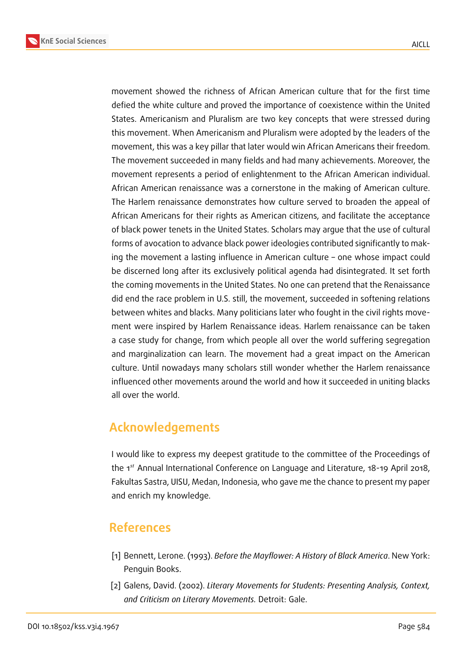

movement showed the richness of African American culture that for the first time defied the white culture and proved the importance of coexistence within the United States. Americanism and Pluralism are two key concepts that were stressed during this movement. When Americanism and Pluralism were adopted by the leaders of the movement, this was a key pillar that later would win African Americans their freedom. The movement succeeded in many fields and had many achievements. Moreover, the movement represents a period of enlightenment to the African American individual. African American renaissance was a cornerstone in the making of American culture. The Harlem renaissance demonstrates how culture served to broaden the appeal of African Americans for their rights as American citizens, and facilitate the acceptance of black power tenets in the United States. Scholars may argue that the use of cultural forms of avocation to advance black power ideologies contributed significantly to making the movement a lasting influence in American culture – one whose impact could be discerned long after its exclusively political agenda had disintegrated. It set forth the coming movements in the United States. No one can pretend that the Renaissance did end the race problem in U.S. still, the movement, succeeded in softening relations between whites and blacks. Many politicians later who fought in the civil rights movement were inspired by Harlem Renaissance ideas. Harlem renaissance can be taken a case study for change, from which people all over the world suffering segregation and marginalization can learn. The movement had a great impact on the American culture. Until nowadays many scholars still wonder whether the Harlem renaissance influenced other movements around the world and how it succeeded in uniting blacks all over the world.

## **Acknowledgements**

I would like to express my deepest gratitude to the committee of the Proceedings of the  $1^{st}$  Annual International Conference on Language and Literature,  $18-19$  April 2018, Fakultas Sastra, UISU, Medan, Indonesia, who gave me the chance to present my paper and enrich my knowledge.

### **References**

- [1] Bennett, Lerone. (1993). *Before the Mayflower: A History of Black America*. New York: Penguin Books.
- [2] Galens, David. (2002). *Literary Movements for Students: Presenting Analysis, Context, and Criticism on Literary Movements.* Detroit: Gale.